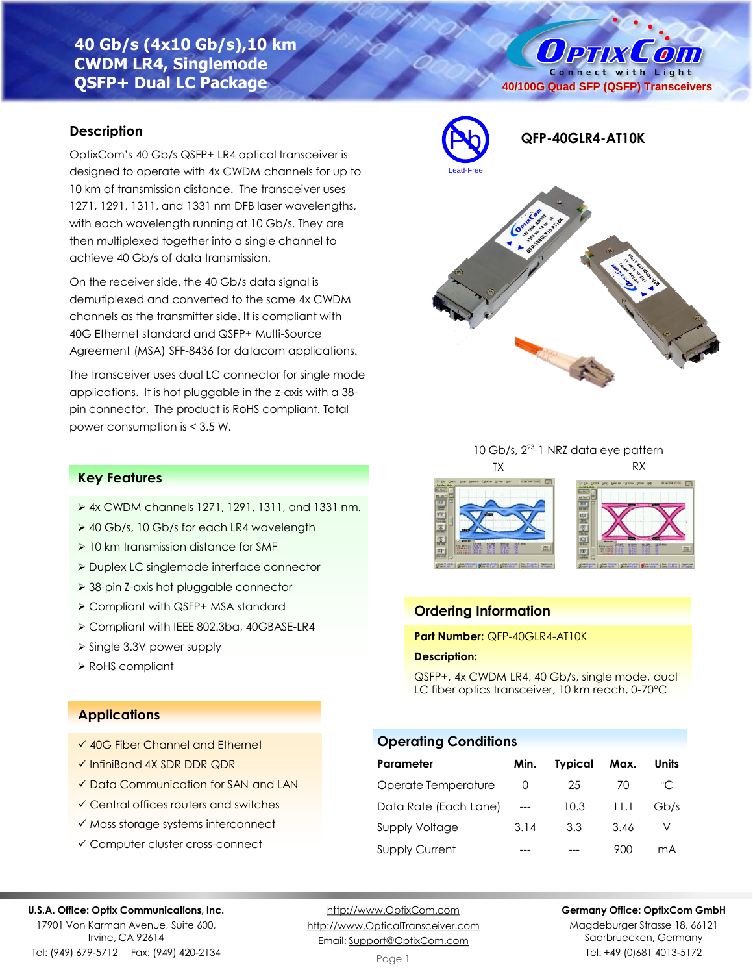# **40 Gb/s (4x10 Gb/s),10 km CWDM LR4, Singlemode QSFP+ Dual LC Package**

## **Description**

OptixCom's 40 Gb/s QSFP+ LR4 optical transceiver is designed to operate with 4x CWDM channels for up to 10 km of transmission distance. The transceiver uses 1271, 1291, 1311, and 1331 nm DFB laser wavelengths, with each wavelength running at 10 Gb/s. They are then multiplexed together into a single channel to achieve 40 Gb/s of data transmission.

On the receiver side, the 40 Gb/s data signal is demutiplexed and converted to the same 4x CWDM channels as the transmitter side. It is compliant with 40G Ethernet standard and QSFP+ Multi-Source Agreement (MSA) SFF-8436 for datacom applications.

The transceiver uses dual LC connector for single mode applications. It is hot pluggable in the z-axis with a 38 pin connector. The product is RoHS compliant. Total power consumption is < 3.5 W.



**40/100G Quad SFP (QSFP) Transceivers**

**Ортіх Сопі** Connect with Light







## **Ordering Information**

**Part Number:** QFP-40GLR4-AT10K

#### **Description:**

QSFP+, 4x CWDM LR4, 40 Gb/s, single mode, dual LC fiber optics transceiver, 10 km reach, 0-70°C

### **Operating Conditions**

| Parameter             | Min.             | <b>Typical</b> | Max. | Units        |
|-----------------------|------------------|----------------|------|--------------|
| Operate Temperature   | $\left( \right)$ | 25             | 70   | $^{\circ}$ C |
| Data Rate (Each Lane) |                  | 10.3           | 11.1 | Gb/s         |
| <b>Supply Voltage</b> | 3.14             | 3.3            | 3.46 |              |
| <b>Supply Current</b> |                  |                | 900  | mA           |

### **Key Features**

- ➢ 4x CWDM channels 1271, 1291, 1311, and 1331 nm.
- ➢ 40 Gb/s, 10 Gb/s for each LR4 wavelength
- ➢ 10 km transmission distance for SMF
- ➢ Duplex LC singlemode interface connector
- ➢ 38-pin Z-axis hot pluggable connector
- ➢ Compliant with QSFP+ MSA standard
- ➢ Compliant with IEEE 802.3ba, 40GBASE-LR4
- ➢ Single 3.3V power supply
- ➢ RoHS compliant

### **Applications**

- ✓ 40G Fiber Channel and Ethernet
- ✓ InfiniBand 4X SDR DDR QDR
- ✓ Data Communication for SAN and LAN
- ✓ Central offices routers and switches
- ✓ Mass storage systems interconnect
- ✓ Computer cluster cross-connect

#### **U.S.A. Office: Optix Communications, Inc.**

17901 Von Karman Avenue, Suite 600, Irvine, CA 92614 Tel: (949) 679-5712 Fax: (949) 420-2134

[http://www.OptixCom.com](http://www.optixcom.com/) [http://www.OpticalTransceiver.com](http://www.optoictech.com/) Email: [Support@OptixCom.com](mailto:Support@optoICtech.com)

#### **Germany Office: OptixCom GmbH**

Magdeburger Strasse 18, 66121 Saarbruecken, Germany Tel: +49 (0)681 4013-5172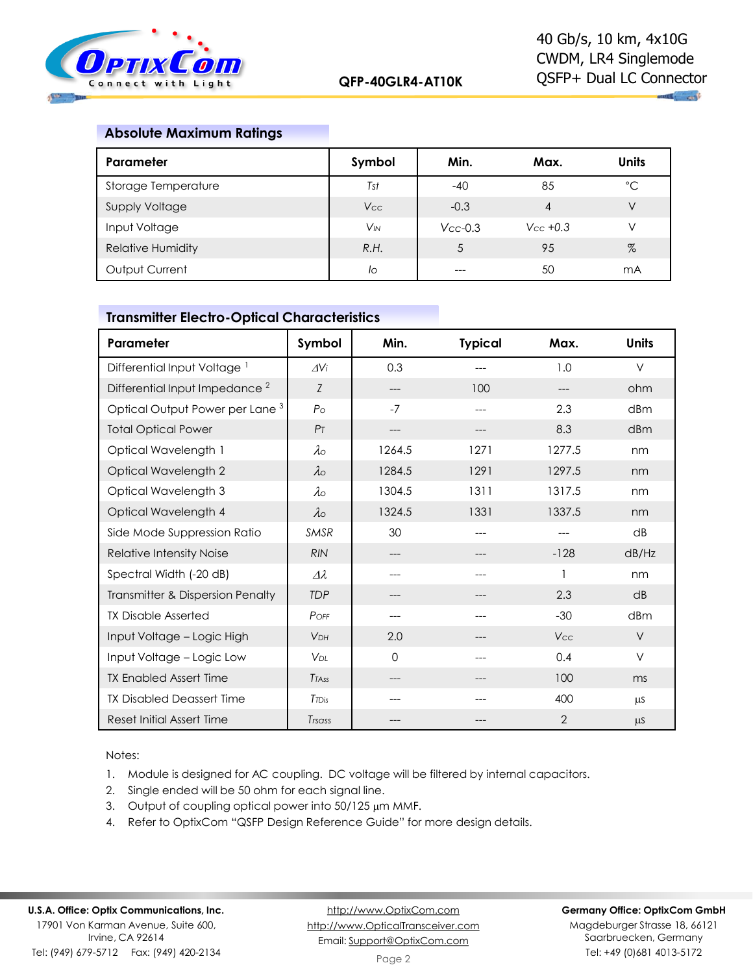

## **Absolute Maximum Ratings**

| Parameter                | Symbol                | Min.          | Max.           | <b>Units</b> |
|--------------------------|-----------------------|---------------|----------------|--------------|
| Storage Temperature      | Tst                   | $-40$         | 85             | °C           |
| Supply Voltage           | <b>Vcc</b>            | $-0.3$        | $\overline{4}$ | V            |
| Input Voltage            | <b>V<sub>IN</sub></b> | $V_{CC}$ -0.3 | $V_{CC}$ +0.3  | V            |
| <b>Relative Humidity</b> | R.H.                  |               | 95             | %            |
| Output Current           | lo                    |               | 50             | mA           |

## **Transmitter Electro-Optical Characteristics**

| Parameter                                  | Symbol                | Min.   | <b>Typical</b> | Max.           | <b>Units</b>    |
|--------------------------------------------|-----------------------|--------|----------------|----------------|-----------------|
| Differential Input Voltage <sup>1</sup>    | $\Delta V$ i          | 0.3    |                | 1.0            | $\vee$          |
| Differential Input Impedance <sup>2</sup>  | Z                     | ---    | 100            |                | ohm             |
| Optical Output Power per Lane <sup>3</sup> | $P_{\Omega}$          | $-7$   | ---            | 2.3            | dBm             |
| <b>Total Optical Power</b>                 | P <sub>T</sub>        | ---    |                | 8.3            | dBm             |
| Optical Wavelength 1                       | $\lambda \circ$       | 1264.5 | 1271           | 1277.5         | nm              |
| Optical Wavelength 2                       | $\lambda_{\rm O}$     | 1284.5 | 1291           | 1297.5         | nm              |
| Optical Wavelength 3                       | $\lambda_{\rm O}$     | 1304.5 | 1311           | 1317.5         | nm              |
| Optical Wavelength 4                       | $\lambda \circ$       | 1324.5 | 1331           | 1337.5         | nm              |
| Side Mode Suppression Ratio                | <b>SMSR</b>           | 30     | ---            |                | dB              |
| Relative Intensity Noise                   | <b>RIN</b>            | ---    | ---            | $-128$         | dB/Hz           |
| Spectral Width (-20 dB)                    | $\varDelta\lambda$    | ---    | ---            |                | nm              |
| Transmitter & Dispersion Penalty           | <b>TDP</b>            | ---    |                | 2.3            | $\overline{AB}$ |
| <b>TX Disable Asserted</b>                 | POFF                  | ---    |                | $-30$          | dBm             |
| Input Voltage - Logic High                 | <b>V<sub>DH</sub></b> | 2.0    |                | <b>Vcc</b>     | $\vee$          |
| Input Voltage - Logic Low                  | <b>V<sub>DL</sub></b> | 0      |                | 0.4            | $\vee$          |
| <b>TX Enabled Assert Time</b>              | <b>T</b> TASS         | ---    |                | 100            | ms              |
| <b>TX Disabled Deassert Time</b>           | <b>T</b> TDis         |        |                | 400            | μS              |
| Reset Initial Assert Time                  | Trsass                |        |                | $\overline{2}$ | $\mu$ S         |

Notes:

- 1. Module is designed for AC coupling. DC voltage will be filtered by internal capacitors.
- 2. Single ended will be 50 ohm for each signal line.
- 3. Output of coupling optical power into  $50/125 \mu m$  MMF.
- 4. Refer to OptixCom "QSFP Design Reference Guide" for more design details.

[http://www.OptixCom.com](http://www.optixcom.com/) [http://www.OpticalTransceiver.com](http://www.optoictech.com/) Email: [Support@OptixCom.com](mailto:Support@optoICtech.com)

#### **Germany Office: OptixCom GmbH**

Magdeburger Strasse 18, 66121 Saarbruecken, Germany Tel: +49 (0)681 4013-5172